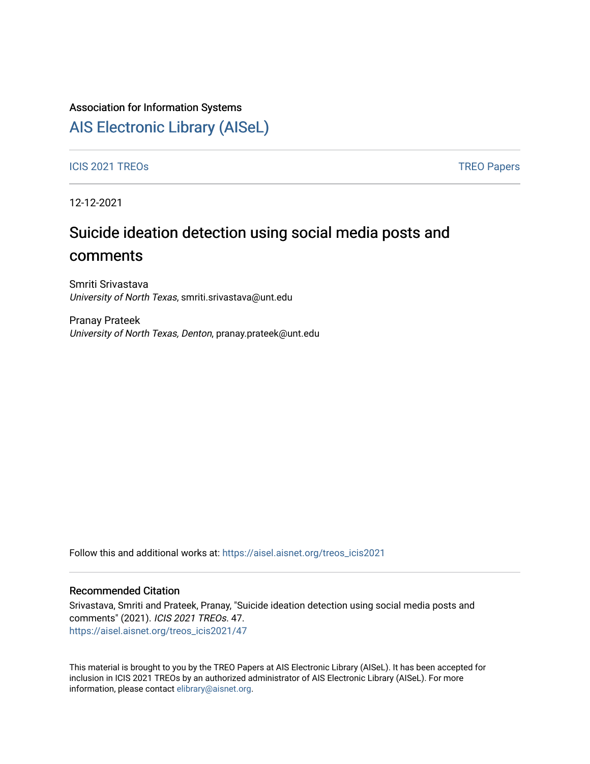### Association for Information Systems

# [AIS Electronic Library \(AISeL\)](https://aisel.aisnet.org/)

ICIS 2021 TREOS Notes that the contract of the contract of the contract of the contract of the contract of the contract of the contract of the contract of the contract of the contract of the contract of the contract of the

12-12-2021

# Suicide ideation detection using social media posts and comments

Smriti Srivastava University of North Texas, smriti.srivastava@unt.edu

Pranay Prateek University of North Texas, Denton, pranay.prateek@unt.edu

Follow this and additional works at: [https://aisel.aisnet.org/treos\\_icis2021](https://aisel.aisnet.org/treos_icis2021?utm_source=aisel.aisnet.org%2Ftreos_icis2021%2F47&utm_medium=PDF&utm_campaign=PDFCoverPages) 

#### Recommended Citation

Srivastava, Smriti and Prateek, Pranay, "Suicide ideation detection using social media posts and comments" (2021). ICIS 2021 TREOs. 47. [https://aisel.aisnet.org/treos\\_icis2021/47](https://aisel.aisnet.org/treos_icis2021/47?utm_source=aisel.aisnet.org%2Ftreos_icis2021%2F47&utm_medium=PDF&utm_campaign=PDFCoverPages) 

This material is brought to you by the TREO Papers at AIS Electronic Library (AISeL). It has been accepted for inclusion in ICIS 2021 TREOs by an authorized administrator of AIS Electronic Library (AISeL). For more information, please contact [elibrary@aisnet.org.](mailto:elibrary@aisnet.org%3E)